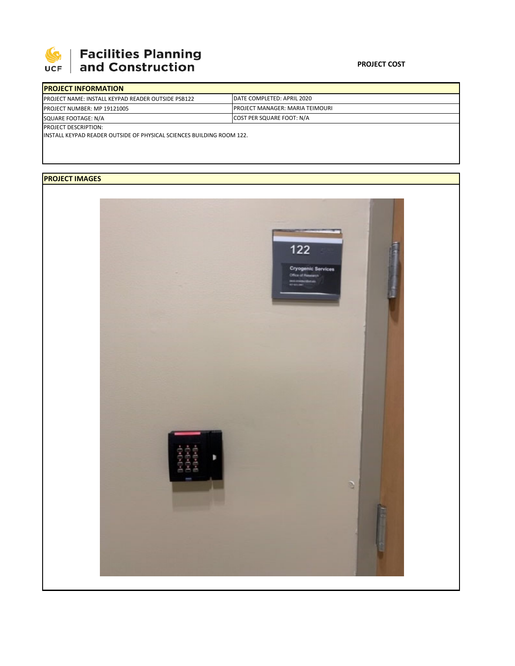

## | Facilities Planning<br>| and Construction

| <b>IDATE COMPLETED: APRIL 2020</b>                                            |  |  |  |  |  |
|-------------------------------------------------------------------------------|--|--|--|--|--|
| <b>IPROJECT MANAGER: MARIA TEIMOURI</b>                                       |  |  |  |  |  |
| COST PER SQUARE FOOT: N/A                                                     |  |  |  |  |  |
|                                                                               |  |  |  |  |  |
| <b>IINSTALL KEYPAD READER OUTSIDE OF PHYSICAL SCIENCES BUILDING ROOM 122.</b> |  |  |  |  |  |
|                                                                               |  |  |  |  |  |

## **PROJECT IMAGES**